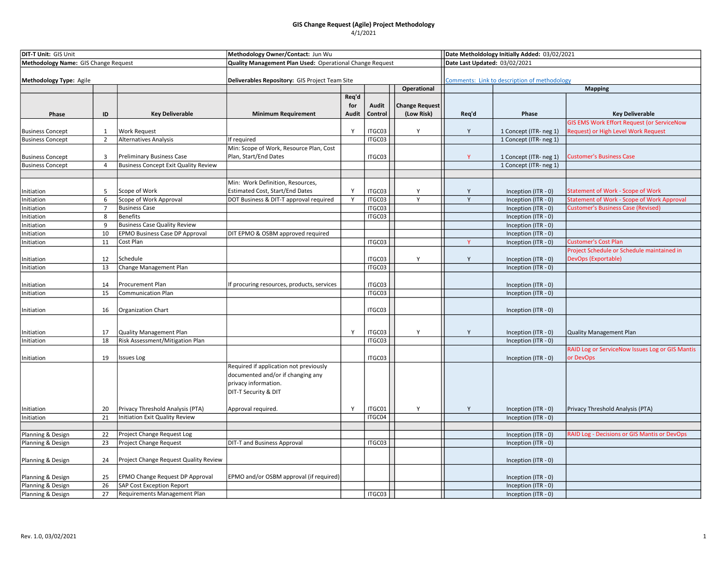| <b>DIT-T Unit: GIS Unit</b>          |                |                                             | Methodology Owner/Contact: Jun Wu                        |              |              | Date Metholdology Initially Added: 03/02/2021 |       |                                            |                                                                             |
|--------------------------------------|----------------|---------------------------------------------|----------------------------------------------------------|--------------|--------------|-----------------------------------------------|-------|--------------------------------------------|-----------------------------------------------------------------------------|
| Methodology Name: GIS Change Request |                |                                             | Quality Management Plan Used: Operational Change Request |              |              | Date Last Updated: 03/02/2021                 |       |                                            |                                                                             |
|                                      |                |                                             |                                                          |              |              |                                               |       |                                            |                                                                             |
| Methodology Type: Agile              |                |                                             | Deliverables Repository: GIS Project Team Site           |              |              | Comments: Link to description of methodology  |       |                                            |                                                                             |
|                                      |                |                                             |                                                          |              |              | Operational                                   |       |                                            | <b>Mapping</b>                                                              |
|                                      |                |                                             |                                                          | Req'd        |              |                                               |       |                                            |                                                                             |
|                                      | ID             |                                             |                                                          | for          | <b>Audit</b> | Change Request                                |       | Phase                                      |                                                                             |
| Phase                                |                | <b>Key Deliverable</b>                      | <b>Minimum Requirement</b>                               | <b>Audit</b> | Control      | (Low Risk)                                    | Req'd |                                            | <b>Key Deliverable</b><br><b>GIS EMS Work Effort Request (or ServiceNow</b> |
| <b>Business Concept</b>              | 1              | <b>Work Request</b>                         |                                                          | Y            | ITGC03       | Y                                             | Y     | 1 Concept (ITR- neg 1)                     | Request) or High Level Work Request                                         |
| <b>Business Concept</b>              | $\overline{2}$ | <b>Alternatives Analysis</b>                | If required                                              |              | ITGC03       |                                               |       | 1 Concept (ITR- neg 1)                     |                                                                             |
|                                      |                |                                             | Min: Scope of Work, Resource Plan, Cost                  |              |              |                                               |       |                                            |                                                                             |
| <b>Business Concept</b>              | 3              | Preliminary Business Case                   | Plan, Start/End Dates                                    |              | ITGC03       |                                               | Y     | 1 Concept (ITR- neg 1)                     | <b>Customer's Business Case</b>                                             |
| <b>Business Concept</b>              | $\overline{4}$ | <b>Business Concept Exit Quality Review</b> |                                                          |              |              |                                               |       | 1 Concept (ITR- neg 1)                     |                                                                             |
|                                      |                |                                             |                                                          |              |              |                                               |       |                                            |                                                                             |
|                                      |                |                                             | Min: Work Definition, Resources,                         |              |              |                                               |       |                                            |                                                                             |
| Initiation                           | 5              | Scope of Work                               | <b>Estimated Cost, Start/End Dates</b>                   | Y            | ITGC03       | Y                                             | Y     | Inception (ITR - 0)                        | <b>Statement of Work - Scope of Work</b>                                    |
| Initiation                           | 6              | Scope of Work Approval                      | DOT Business & DIT-T approval required                   | Y            | ITGC03       | Y                                             | Y     | Inception (ITR - 0)                        | <b>Statement of Work - Scope of Work Approval</b>                           |
| Initiation                           | $\overline{7}$ | <b>Business Case</b>                        |                                                          |              | ITGC03       |                                               |       | Inception (ITR - 0)                        | <b>Customer's Business Case (Revised)</b>                                   |
| Initiation                           | 8              | <b>Benefits</b>                             |                                                          |              | ITGC03       |                                               |       | Inception (ITR - 0)                        |                                                                             |
| Initiation                           | 9              | <b>Business Case Quality Review</b>         |                                                          |              |              |                                               |       | Inception (ITR - 0)                        |                                                                             |
| Initiation                           | 10             | EPMO Business Case DP Approval              | DIT EPMO & OSBM approved required                        |              |              |                                               |       | Inception (ITR - 0)                        |                                                                             |
| Initiation                           | 11             | Cost Plan                                   |                                                          |              | ITGC03       |                                               | Y     | Inception (ITR - 0)                        | <b>Customer's Cost Plan</b>                                                 |
|                                      |                |                                             |                                                          |              |              |                                               |       |                                            | Project Schedule or Schedule maintained in                                  |
| Initiation                           | 12             | Schedule                                    |                                                          |              | ITGC03       | Y                                             | Y     | Inception (ITR - 0)                        | DevOps (Exportable)                                                         |
| Initiation                           | 13             | Change Management Plan                      |                                                          |              | ITGC03       |                                               |       | Inception (ITR - 0)                        |                                                                             |
|                                      |                |                                             |                                                          |              |              |                                               |       |                                            |                                                                             |
| Initiation                           | 14             | Procurement Plan                            | If procuring resources, products, services               |              | ITGC03       |                                               |       | Inception (ITR - 0)                        |                                                                             |
| Initiation                           | 15             | <b>Communication Plan</b>                   |                                                          |              | ITGC03       |                                               |       | Inception (ITR - 0)                        |                                                                             |
|                                      |                |                                             |                                                          |              |              |                                               |       |                                            |                                                                             |
| Initiation                           | 16             | Organization Chart                          |                                                          |              | ITGC03       |                                               |       | Inception (ITR - 0)                        |                                                                             |
|                                      |                |                                             |                                                          |              |              |                                               |       |                                            |                                                                             |
|                                      |                | <b>Quality Management Plan</b>              |                                                          | Y            | ITGC03       | Y                                             | Y     |                                            |                                                                             |
| Initiation<br>Initiation             | 17<br>18       | Risk Assessment/Mitigation Plan             |                                                          |              | ITGC03       |                                               |       | Inception (ITR - 0)<br>Inception (ITR - 0) | Quality Management Plan                                                     |
|                                      |                |                                             |                                                          |              |              |                                               |       |                                            | RAID Log or ServiceNow Issues Log or GIS Mantis                             |
| Initiation                           | 19             | Issues Log                                  |                                                          |              | ITGC03       |                                               |       | Inception (ITR - 0)                        | or DevOps                                                                   |
|                                      |                |                                             | Required if application not previously                   |              |              |                                               |       |                                            |                                                                             |
|                                      |                |                                             | documented and/or if changing any                        |              |              |                                               |       |                                            |                                                                             |
|                                      |                |                                             | privacy information.                                     |              |              |                                               |       |                                            |                                                                             |
|                                      |                |                                             | DIT-T Security & DIT                                     |              |              |                                               |       |                                            |                                                                             |
|                                      |                |                                             |                                                          |              |              |                                               |       |                                            |                                                                             |
| Initiation                           | 20             | Privacy Threshold Analysis (PTA)            | Approval required.                                       | Y            | ITGC01       | Y                                             | Y     | Inception (ITR - 0)                        | Privacy Threshold Analysis (PTA)                                            |
| Initiation                           | 21             | Initiation Exit Quality Review              |                                                          |              | ITGC04       |                                               |       | Inception (ITR - 0)                        |                                                                             |
|                                      |                |                                             |                                                          |              |              |                                               |       |                                            |                                                                             |
| Planning & Design                    | 22             | Project Change Request Log                  |                                                          |              |              |                                               |       | Inception (ITR - 0)                        | <b>RAID Log - Decisions or GIS Mantis or DevOps</b>                         |
| Planning & Design                    | 23             | Project Change Request                      | <b>DIT-T and Business Approval</b>                       |              | ITGC03       |                                               |       | Inception (ITR - 0)                        |                                                                             |
|                                      |                |                                             |                                                          |              |              |                                               |       |                                            |                                                                             |
| Planning & Design                    | 24             | Project Change Request Quality Review       |                                                          |              |              |                                               |       | Inception (ITR - 0)                        |                                                                             |
|                                      |                |                                             |                                                          |              |              |                                               |       |                                            |                                                                             |
| Planning & Design                    | 25             | EPMO Change Request DP Approval             | EPMO and/or OSBM approval (if required)                  |              |              |                                               |       | Inception (ITR - 0)                        |                                                                             |
| Planning & Design                    | 26             | <b>SAP Cost Exception Report</b>            |                                                          |              |              |                                               |       | Inception (ITR - 0)                        |                                                                             |
| Planning & Design                    | 27             | <b>Requirements Management Plan</b>         |                                                          |              | ITGC03       |                                               |       | Inception (ITR - 0)                        |                                                                             |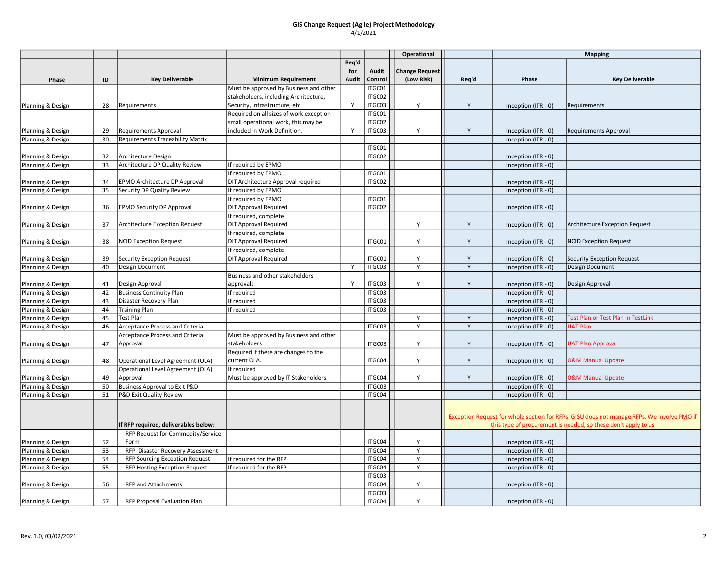|                   |    |                                          |                                         |              |                  | Operational    |       | <b>Mapping</b>      |                                                                                            |
|-------------------|----|------------------------------------------|-----------------------------------------|--------------|------------------|----------------|-------|---------------------|--------------------------------------------------------------------------------------------|
|                   |    |                                          |                                         | Req'd        |                  |                |       |                     |                                                                                            |
|                   |    |                                          |                                         | for          | Audit            | Change Request |       |                     |                                                                                            |
| Phase             | ID | <b>Key Deliverable</b>                   | <b>Minimum Requirement</b>              | Audit        | Control          | (Low Risk)     | Req'd | Phase               | <b>Key Deliverable</b>                                                                     |
|                   |    |                                          | Must be approved by Business and other  |              | ITGC01           |                |       |                     |                                                                                            |
|                   |    |                                          | stakeholders, including Architecture,   |              | ITGC02           |                |       |                     |                                                                                            |
| Planning & Design | 28 | Requirements                             | Security, Infrastructure, etc.          | Y            | ITGC03           | Y              | Y     | Inception (ITR - 0) | Requirements                                                                               |
|                   |    |                                          | Required on all sizes of work except on |              | ITGC01           |                |       |                     |                                                                                            |
|                   |    |                                          | small operational work, this may be     |              | ITGC02           |                |       |                     |                                                                                            |
| Planning & Design | 29 | Requirements Approval                    | included in Work Definition.            | Y            | ITGC03           | Y              | Y     | Inception (ITR - 0) | Requirements Approval                                                                      |
| Planning & Design | 30 | Requirements Traceability Matrix         |                                         |              |                  |                |       | Inception (ITR - 0) |                                                                                            |
|                   |    |                                          |                                         |              | ITGC01           |                |       |                     |                                                                                            |
| Planning & Design | 32 | Architecture Design                      |                                         |              | ITGC02           |                |       | Inception (ITR - 0) |                                                                                            |
| Planning & Design | 33 | Architecture DP Quality Review           | If required by EPMO                     |              |                  |                |       | Inception (ITR - 0) |                                                                                            |
|                   |    |                                          | If required by EPMO                     |              | ITGC01           |                |       |                     |                                                                                            |
| Planning & Design | 34 | EPMO Architecture DP Approval            | DIT Architecture Approval required      |              | ITGC02           |                |       | Inception (ITR - 0) |                                                                                            |
| Planning & Design | 35 | Security DP Quality Review               | If required by EPMO                     |              |                  |                |       | Inception (ITR - 0) |                                                                                            |
|                   |    |                                          | If required by EPMO                     |              | ITGC01           |                |       |                     |                                                                                            |
| Planning & Design | 36 | <b>EPMO Security DP Approval</b>         | <b>DIT Approval Required</b>            |              | ITGC02           |                |       | Inception (ITR - 0) |                                                                                            |
|                   |    |                                          | If required, complete                   |              |                  |                |       |                     |                                                                                            |
| Planning & Design | 37 | Architecture Exception Request           | <b>DIT Approval Required</b>            |              |                  | Y              | Y     | Inception (ITR - 0) | Architecture Exception Request                                                             |
|                   |    |                                          | If required, complete                   |              |                  |                |       |                     |                                                                                            |
| Planning & Design | 38 | <b>NCID Exception Request</b>            | <b>DIT Approval Required</b>            |              | ITGC01           | Y              | Y     | Inception (ITR - 0) | <b>NCID Exception Request</b>                                                              |
|                   |    |                                          | If required, complete                   |              |                  |                |       |                     |                                                                                            |
| Planning & Design | 39 | Security Exception Request               | <b>DIT Approval Required</b>            |              | ITGC01           | Y              | Y     | Inception (ITR - 0) | Security Exception Request                                                                 |
| Planning & Design | 40 | Design Document                          |                                         | Y            | ITGC03           | $\overline{Y}$ | Y     | Inception (ITR - 0) | Design Document                                                                            |
|                   |    |                                          | Business and other stakeholders         |              |                  |                |       |                     |                                                                                            |
| Planning & Design | 41 | Design Approval                          | approvals                               | $\mathsf{Y}$ | ITGC03           | Y              | Y     | Inception (ITR - 0) | Design Approval                                                                            |
| Planning & Design | 42 | <b>Business Continuity Plan</b>          | If required                             |              | ITGC03           |                |       | Inception (ITR - 0) |                                                                                            |
| Planning & Design | 43 | Disaster Recovery Plan                   | If required                             |              | ITGC03           |                |       | Inception (ITR - 0) |                                                                                            |
| Planning & Design | 44 | <b>Training Plan</b>                     | If required                             |              | ITGC03           |                |       | Inception (ITR - 0) |                                                                                            |
| Planning & Design | 45 | Test Plan                                |                                         |              |                  | Y              | Y     | Inception (ITR - 0) | Test Plan or Test Plan in TestLink                                                         |
| Planning & Design | 46 | <b>Acceptance Process and Criteria</b>   |                                         |              | ITGC03           | Y              | Y     | Inception (ITR - 0) | <b>UAT Plan</b>                                                                            |
|                   |    | <b>Acceptance Process and Criteria</b>   | Must be approved by Business and other  |              |                  |                |       |                     |                                                                                            |
| Planning & Design | 47 | Approval                                 | stakeholders                            |              | ITGC03           | Y              | Y     | Inception (ITR - 0) | <b>UAT Plan Approval</b>                                                                   |
|                   |    |                                          | Required if there are changes to the    |              |                  |                |       |                     |                                                                                            |
| Planning & Design | 48 | Operational Level Agreement (OLA)        | current OLA.                            |              | ITGC04           | Y              | Y     | Inception (ITR - 0) | <b>O&amp;M Manual Update</b>                                                               |
|                   |    | Operational Level Agreement (OLA)        | If required                             |              |                  |                |       |                     |                                                                                            |
| Planning & Design | 49 | Approval                                 | Must be approved by IT Stakeholders     |              | ITGC04           | Y              | Y     | Inception (ITR - 0) | <b>O&amp;M Manual Update</b>                                                               |
| Planning & Design | 50 | <b>Business Approval to Exit P&amp;D</b> |                                         |              | ITGC03           |                |       | Inception (ITR - 0) |                                                                                            |
| Planning & Design | 51 | P&D Exit Quality Review                  |                                         |              | ITGC04           |                |       | Inception (ITR - 0) |                                                                                            |
|                   |    |                                          |                                         |              |                  |                |       |                     |                                                                                            |
|                   |    |                                          |                                         |              |                  |                |       |                     |                                                                                            |
|                   |    |                                          |                                         |              |                  |                |       |                     | Exception Request for whole section for RFPs: GISU does not manage RFPs. We involve PMO if |
|                   |    | If RFP required, deliverables below:     |                                         |              |                  |                |       |                     | this type of procurement is needed, so these don't apply to us                             |
|                   |    | RFP Request for Commodity/Service        |                                         |              |                  |                |       |                     |                                                                                            |
| Planning & Design | 52 | Form                                     |                                         |              | ITGC04<br>ITGC04 | Y              |       | Inception (ITR - 0) |                                                                                            |
| Planning & Design | 53 | RFP Disaster Recovery Assessment         |                                         |              |                  | Y<br>Y         |       | Inception (ITR - 0) |                                                                                            |
| Planning & Design | 54 | <b>RFP Sourcing Exception Request</b>    | If required for the RFP                 |              | ITGC04<br>ITGC04 | Y              |       | Inception (ITR - 0) |                                                                                            |
| Planning & Design | 55 | RFP Hosting Exception Request            | If required for the RFP                 |              |                  |                |       | Inception (ITR - 0) |                                                                                            |
|                   |    |                                          |                                         |              | ITGC03           |                |       |                     |                                                                                            |
| Planning & Design | 56 | <b>RFP and Attachments</b>               |                                         |              | ITGC04           | Y              |       | Inception (ITR - 0) |                                                                                            |
|                   |    |                                          |                                         |              | ITGC03           |                |       |                     |                                                                                            |
| Planning & Design | 57 | <b>RFP Proposal Evaluation Plan</b>      |                                         |              | ITGC04           | Y              |       | Inception (ITR - 0) |                                                                                            |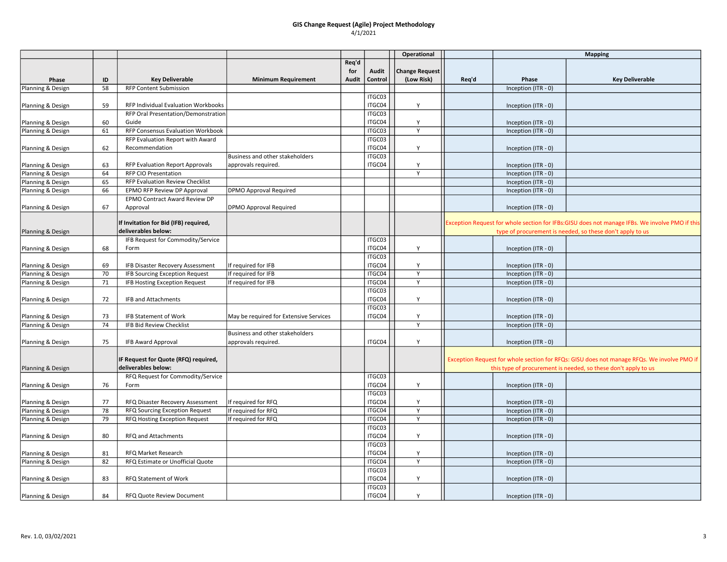|                   |    |                                        |                                        |       |         | Operational           |       | <b>Mapping</b>        |                                                                                                |
|-------------------|----|----------------------------------------|----------------------------------------|-------|---------|-----------------------|-------|-----------------------|------------------------------------------------------------------------------------------------|
|                   |    |                                        |                                        | Req'd |         |                       |       |                       |                                                                                                |
|                   |    |                                        |                                        | for   | Audit   | <b>Change Request</b> |       |                       |                                                                                                |
| Phase             | ID | <b>Key Deliverable</b>                 | <b>Minimum Requirement</b>             | Audit | Control | (Low Risk)            | Req'd | Phase                 | <b>Key Deliverable</b>                                                                         |
| Planning & Design | 58 | <b>RFP Content Submission</b>          |                                        |       |         |                       |       | Inception (ITR - 0)   |                                                                                                |
|                   |    |                                        |                                        |       | ITGC03  |                       |       |                       |                                                                                                |
| Planning & Design | 59 | RFP Individual Evaluation Workbooks    |                                        |       | ITGC04  | Y                     |       | Inception (ITR - 0)   |                                                                                                |
|                   |    | RFP Oral Presentation/Demonstration    |                                        |       | ITGC03  |                       |       |                       |                                                                                                |
| Planning & Design | 60 | Guide                                  |                                        |       | ITGC04  | Y                     |       | Inception (ITR - 0)   |                                                                                                |
| Planning & Design | 61 | RFP Consensus Evaluation Workbook      |                                        |       | ITGC03  | $\overline{Y}$        |       | Inception (ITR - 0)   |                                                                                                |
|                   |    | RFP Evaluation Report with Award       |                                        |       | ITGC03  |                       |       |                       |                                                                                                |
| Planning & Design | 62 | Recommendation                         |                                        |       | ITGC04  | Y                     |       | Inception (ITR - 0)   |                                                                                                |
|                   |    |                                        | Business and other stakeholders        |       | ITGC03  |                       |       |                       |                                                                                                |
| Planning & Design | 63 | RFP Evaluation Report Approvals        | approvals required.                    |       | ITGC04  | Y                     |       | Inception (ITR - 0)   |                                                                                                |
| Planning & Design | 64 | <b>RFP CIO Presentation</b>            |                                        |       |         | Y                     |       | Inception (ITR - 0)   |                                                                                                |
| Planning & Design | 65 | <b>RFP Evaluation Review Checklist</b> |                                        |       |         |                       |       | Inception (ITR - 0)   |                                                                                                |
| Planning & Design | 66 | EPMO RFP Review DP Approval            | <b>DPMO Approval Required</b>          |       |         |                       |       | Inception (ITR - 0)   |                                                                                                |
|                   |    | EPMO Contract Award Review DP          |                                        |       |         |                       |       |                       |                                                                                                |
| Planning & Design | 67 | Approval                               | DPMO Approval Required                 |       |         |                       |       | Inception (ITR - 0)   |                                                                                                |
|                   |    |                                        |                                        |       |         |                       |       |                       |                                                                                                |
|                   |    | If Invitation for Bid (IFB) required,  |                                        |       |         |                       |       |                       | Exception Request for whole section for IFBs:GISU does not manage IFBs. We involve PMO if this |
| Planning & Design |    | deliverables below:                    |                                        |       |         |                       |       |                       | type of procurement is needed, so these don't apply to us                                      |
|                   |    | IFB Request for Commodity/Service      |                                        |       | ITGC03  |                       |       |                       |                                                                                                |
| Planning & Design | 68 | Form                                   |                                        |       | ITGC04  | Y                     |       | Inception (ITR - 0)   |                                                                                                |
|                   |    |                                        |                                        |       | ITGC03  |                       |       |                       |                                                                                                |
| Planning & Design | 69 | IFB Disaster Recovery Assessment       | If required for IFB                    |       | ITGC04  | Y                     |       | Inception (ITR - 0)   |                                                                                                |
| Planning & Design | 70 | <b>IFB Sourcing Exception Request</b>  | If required for IFB                    |       | ITGC04  | $\mathsf{Y}$          |       | Inception (ITR - 0)   |                                                                                                |
| Planning & Design | 71 | IFB Hosting Exception Request          | If required for IFB                    |       | ITGC04  | Y                     |       | Inception (ITR - 0)   |                                                                                                |
|                   |    |                                        |                                        |       | ITGC03  |                       |       |                       |                                                                                                |
| Planning & Design | 72 | <b>IFB and Attachments</b>             |                                        |       | ITGC04  | Y                     |       | Inception (ITR - 0)   |                                                                                                |
|                   |    |                                        |                                        |       | ITGC03  |                       |       |                       |                                                                                                |
| Planning & Design | 73 | <b>IFB Statement of Work</b>           | May be required for Extensive Services |       | ITGC04  | Y                     |       | Inception (ITR - 0)   |                                                                                                |
| Planning & Design | 74 | IFB Bid Review Checklist               |                                        |       |         | $\overline{Y}$        |       | Inception (ITR - 0)   |                                                                                                |
|                   |    |                                        | Business and other stakeholders        |       |         |                       |       |                       |                                                                                                |
| Planning & Design | 75 | IFB Award Approval                     | approvals required.                    |       | ITGC04  | Y                     |       | Inception (ITR - 0)   |                                                                                                |
|                   |    |                                        |                                        |       |         |                       |       |                       |                                                                                                |
|                   |    | IF Request for Quote (RFQ) required,   |                                        |       |         |                       |       |                       | Exception Request for whole section for RFQs: GISU does not manage RFQs. We involve PMO if     |
| Planning & Design |    | deliverables below:                    |                                        |       |         |                       |       |                       | this type of procurement is needed, so these don't apply to us                                 |
|                   |    | RFQ Request for Commodity/Service      |                                        |       | ITGC03  |                       |       |                       |                                                                                                |
| Planning & Design | 76 | Form                                   |                                        |       | ITGC04  | Y                     |       | Inception (ITR - 0)   |                                                                                                |
|                   |    |                                        |                                        |       | ITGC03  |                       |       |                       |                                                                                                |
| Planning & Design | 77 | RFQ Disaster Recovery Assessment       | If required for RFQ                    |       | ITGC04  | Y                     |       | Inception (ITR - 0)   |                                                                                                |
| Planning & Design | 78 | RFQ Sourcing Exception Request         | If required for RFQ                    |       | ITGC04  | Y                     |       | Inception (ITR - 0)   |                                                                                                |
| Planning & Design | 79 | RFQ Hosting Exception Request          | If required for RFQ                    |       | ITGC04  | Y                     |       | Inception (ITR - 0)   |                                                                                                |
|                   |    |                                        |                                        |       | ITGC03  |                       |       |                       |                                                                                                |
| Planning & Design | 80 | RFQ and Attachments                    |                                        |       | ITGC04  | Y                     |       | Inception (ITR - 0)   |                                                                                                |
|                   |    |                                        |                                        |       | ITGC03  |                       |       |                       |                                                                                                |
| Planning & Design | 81 | RFQ Market Research                    |                                        |       | ITGC04  | Y                     |       | Inception (ITR - 0)   |                                                                                                |
| Planning & Design | 82 | RFQ Estimate or Unofficial Quote       |                                        |       | ITGC04  | Y                     |       | Inception (ITR - 0)   |                                                                                                |
|                   |    |                                        |                                        |       | ITGC03  |                       |       |                       |                                                                                                |
| Planning & Design | 83 | RFQ Statement of Work                  |                                        |       | ITGC04  | Y                     |       | Inception $(ITR - 0)$ |                                                                                                |
|                   |    |                                        |                                        |       | ITGC03  |                       |       |                       |                                                                                                |
| Planning & Design | 84 | <b>RFQ Quote Review Document</b>       |                                        |       | ITGC04  | Y                     |       | Inception (ITR - 0)   |                                                                                                |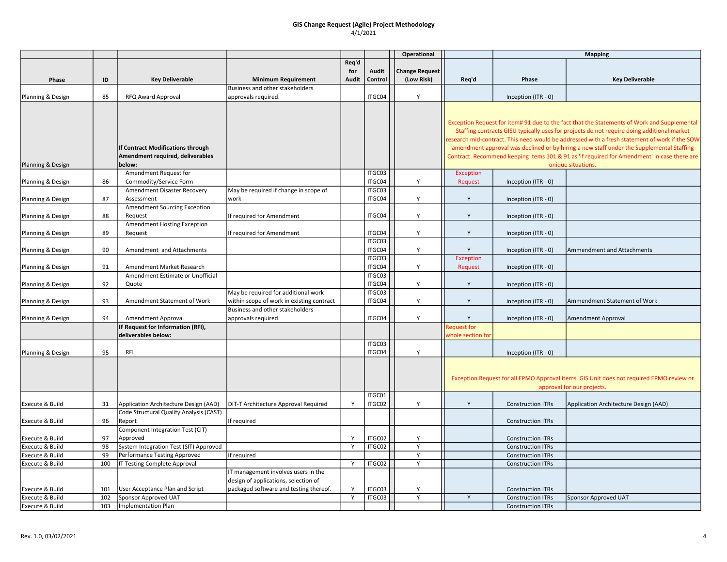|                   |     |                                            |                                                        |              |                  | Operational           |                   |                          | <b>Mapping</b>                                                                               |
|-------------------|-----|--------------------------------------------|--------------------------------------------------------|--------------|------------------|-----------------------|-------------------|--------------------------|----------------------------------------------------------------------------------------------|
|                   |     |                                            |                                                        | Req'd        |                  |                       |                   |                          |                                                                                              |
|                   |     |                                            |                                                        | for          | Audit            | <b>Change Request</b> |                   |                          |                                                                                              |
| Phase             | ID  | <b>Key Deliverable</b>                     | <b>Minimum Requirement</b>                             | <b>Audit</b> | Control          | (Low Risk)            | Req'd             | Phase                    | <b>Key Deliverable</b>                                                                       |
| Planning & Design | 85  | RFQ Award Approval                         | Business and other stakeholders<br>approvals required. |              | ITGC04           | Y                     |                   | Inception (ITR - 0)      |                                                                                              |
|                   |     |                                            |                                                        |              |                  |                       |                   |                          |                                                                                              |
|                   |     |                                            |                                                        |              |                  |                       |                   |                          |                                                                                              |
|                   |     |                                            |                                                        |              |                  |                       |                   |                          | Exception Request for item# 91 due to the fact that the Statements of Work and Supplemental  |
|                   |     |                                            |                                                        |              |                  |                       |                   |                          | Staffing contracts GISU typically uses for projects do not require doing additional market   |
|                   |     |                                            |                                                        |              |                  |                       |                   |                          | esearch mid-contract. This need would be addressed with a fresh statement of work if the SOW |
|                   |     | If Contract Modifications through          |                                                        |              |                  |                       |                   |                          | amendment approval was declined or by hiring a new staff under the Supplemental Staffing     |
|                   |     | Amendment required, deliverables           |                                                        |              |                  |                       |                   |                          | Contract. Recommend keeping items 101 & 91 as 'if required for Amendment' in case there are  |
| Planning & Design |     | below:                                     |                                                        |              |                  |                       |                   |                          | unique situations.                                                                           |
|                   |     | Amendment Request for                      |                                                        |              | ITGC03           |                       | Exception         |                          |                                                                                              |
| Planning & Design | 86  | Commodity/Service Form                     | May be required if change in scope of                  |              | ITGC04<br>ITGC03 | Y                     | Request           | Inception (ITR - 0)      |                                                                                              |
|                   | 87  | Amendment Disaster Recovery                | work                                                   |              | ITGC04           | Y                     | Y                 |                          |                                                                                              |
| Planning & Design |     | Assessment<br>Amendment Sourcing Exception |                                                        |              |                  |                       |                   | Inception (ITR - 0)      |                                                                                              |
| Planning & Design | 88  | Request                                    | If required for Amendment                              |              | ITGC04           | Y                     | Y                 | Inception (ITR - 0)      |                                                                                              |
|                   |     | Amendment Hosting Exception                |                                                        |              |                  |                       |                   |                          |                                                                                              |
| Planning & Design | 89  | Request                                    | If required for Amendment                              |              | ITGC04           | Y                     | Y                 | Inception (ITR - 0)      |                                                                                              |
|                   |     |                                            |                                                        |              | ITGC03           |                       |                   |                          |                                                                                              |
| Planning & Design | 90  | Amendment and Attachments                  |                                                        |              | ITGC04           | Y                     | Y                 | Inception (ITR - 0)      | Ammendment and Attachments                                                                   |
|                   |     |                                            |                                                        |              | ITGC03           |                       | <b>Exception</b>  |                          |                                                                                              |
| Planning & Design | 91  | Amendment Market Research                  |                                                        |              | ITGC04           | Y                     | Request           | Inception $(ITR - 0)$    |                                                                                              |
|                   |     | Amendment Estimate or Unofficial           |                                                        |              | ITGC03           |                       |                   |                          |                                                                                              |
| Planning & Design | 92  | Quote                                      |                                                        |              | ITGC04           | Y                     | Y                 | Inception $(ITR - 0)$    |                                                                                              |
|                   |     |                                            | May be required for additional work                    |              | ITGC03           |                       |                   |                          |                                                                                              |
| Planning & Design | 93  | Amendment Statement of Work                | within scope of work in existing contract              |              | ITGC04           | Y                     | Y                 | Inception (ITR - 0)      | Ammendment Statement of Work                                                                 |
|                   |     |                                            | Business and other stakeholders                        |              |                  |                       |                   |                          |                                                                                              |
| Planning & Design | 94  | Amendment Approval                         | approvals required.                                    |              | ITGC04           | Y                     | Y                 | Inception (ITR - 0)      | Amendment Approval                                                                           |
|                   |     | IF Request for Information (RFI),          |                                                        |              |                  |                       | Request for       |                          |                                                                                              |
|                   |     | deliverables below:                        |                                                        |              | ITGC03           |                       | whole section for |                          |                                                                                              |
| Planning & Design | 95  | RFI                                        |                                                        |              | ITGC04           | Y                     |                   | Inception (ITR - 0)      |                                                                                              |
|                   |     |                                            |                                                        |              |                  |                       |                   |                          |                                                                                              |
|                   |     |                                            |                                                        |              |                  |                       |                   |                          |                                                                                              |
|                   |     |                                            |                                                        |              |                  |                       |                   |                          | Exception Request for all EPMO Approval items. GIS Unit does not required EPMO review or     |
|                   |     |                                            |                                                        |              |                  |                       |                   |                          | approval for our projects.                                                                   |
|                   |     |                                            |                                                        |              | ITGC01           |                       |                   |                          |                                                                                              |
| Execute & Build   | 31  | Application Architecture Design (AAD)      | DIT-T Architecture Approval Required                   | Y            | ITGC02           | Y                     | Y                 | <b>Construction ITRs</b> | Application Architecture Design (AAD)                                                        |
|                   |     | Code Structural Quality Analysis (CAST)    |                                                        |              |                  |                       |                   |                          |                                                                                              |
| Execute & Build   | 96  | Report                                     | If required                                            |              |                  |                       |                   | <b>Construction ITRs</b> |                                                                                              |
|                   |     | Component Integration Test (CIT)           |                                                        |              |                  |                       |                   |                          |                                                                                              |
| Execute & Build   | 97  | Approved                                   |                                                        | Y            | ITGC02           | Y                     |                   | <b>Construction ITRs</b> |                                                                                              |
| Execute & Build   | 98  | System Integration Test (SIT) Approved     |                                                        | Y            | ITGC02           | Y                     |                   | <b>Construction ITRs</b> |                                                                                              |
| Execute & Build   | 99  | Performance Testing Approved               | If required                                            |              |                  | Y                     |                   | <b>Construction ITRs</b> |                                                                                              |
| Execute & Build   | 100 | IT Testing Complete Approval               | IT management involves users in the                    | Y            | ITGC02           | Y                     |                   | <b>Construction ITRs</b> |                                                                                              |
|                   |     |                                            | design of applications, selection of                   |              |                  |                       |                   |                          |                                                                                              |
| Execute & Build   | 101 | User Acceptance Plan and Script            | packaged software and testing thereof.                 | Y            | ITGC03           | Y                     |                   | <b>Construction ITRs</b> |                                                                                              |
| Execute & Build   | 102 | Sponsor Approved UAT                       |                                                        | $\mathsf{Y}$ | ITGC03           | Y                     | Y                 | <b>Construction ITRs</b> | Sponsor Approved UAT                                                                         |
| Execute & Build   | 103 | Implementation Plan                        |                                                        |              |                  |                       |                   | <b>Construction ITRs</b> |                                                                                              |